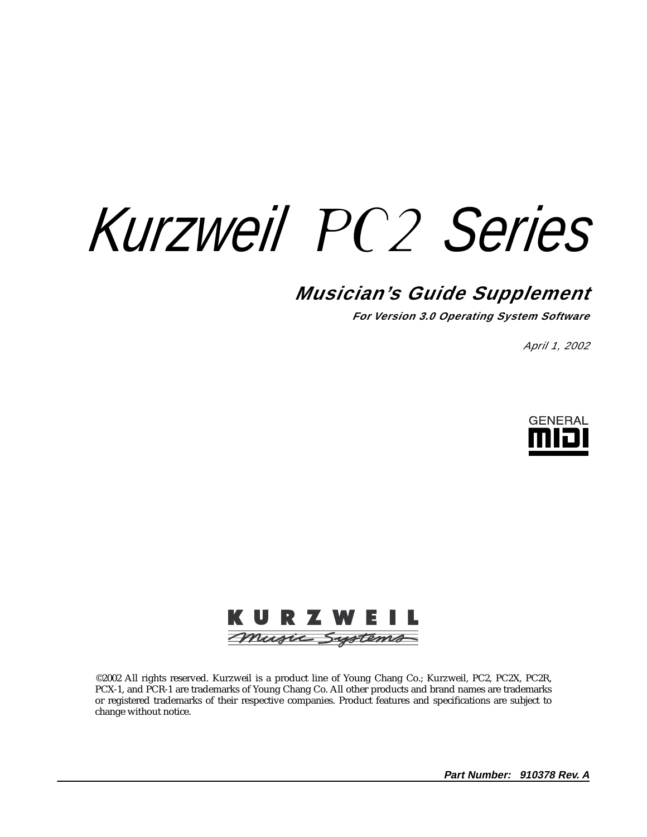*Kurzweil* PC2 *Series*

# **Musician's Guide Supplement**

**For Version 3.0 Operating System Software**

April 1, 2002





©2002 All rights reserved. Kurzweil is a product line of Young Chang Co.; Kurzweil, PC2, PC2X, PC2R, PCX-1, and PCR-1 are trademarks of Young Chang Co. All other products and brand names are trademarks or registered trademarks of their respective companies. Product features and specifications are subject to change without notice.

**Part Number: 910378 Rev. A**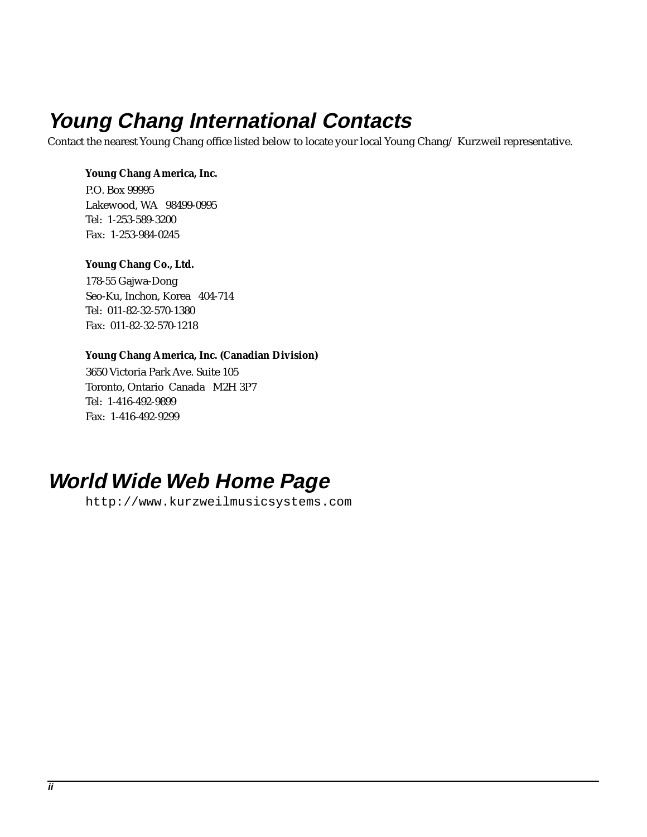# <span id="page-1-0"></span>**Young Chang International Contacts**

Contact the nearest Young Chang office listed below to locate your local Young Chang/ Kurzweil representative.

#### **Young Chang America, Inc.**

P.O. Box 99995 Lakewood, WA 98499-0995 Tel: 1-253-589-3200 Fax: 1-253-984-0245

#### **Young Chang Co., Ltd.**

178-55 Gajwa-Dong Seo-Ku, Inchon, Korea 404-714 Tel: 011-82-32-570-1380 Fax: 011-82-32-570-1218

#### **Young Chang America, Inc. (Canadian Division)**

3650 Victoria Park Ave. Suite 105 Toronto, Ontario Canada M2H 3P7 Tel: 1-416-492-9899 Fax: 1-416-492-9299

# **World Wide Web Home Page**

http://www.kurzweilmusicsystems.com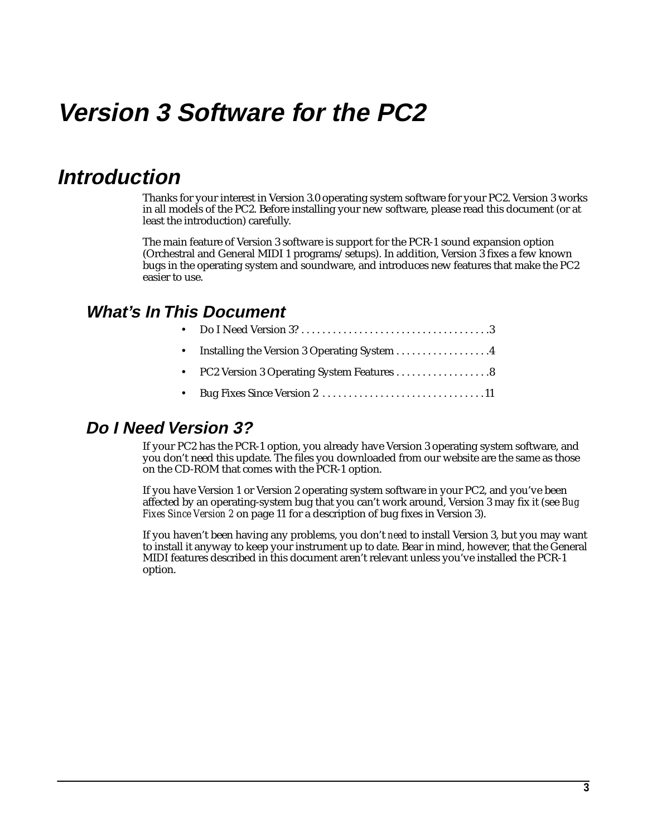# **Version 3 Software for the PC2**

# **Introduction**

Thanks for your interest in Version 3.0 operating system software for your PC2. Version 3 works in all models of the PC2. Before installing your new software, please read this document (or at least the introduction) carefully.

The main feature of Version 3 software is support for the PCR-1 sound expansion option (Orchestral and General MIDI 1 programs/setups). In addition, Version 3 fixes a few known bugs in the operating system and soundware, and introduces new features that make the PC2 easier to use.

### **What's In This Document**

|--|--|--|--|--|--|--|--|--|--|--|--|--|--|--|--|--|--|--|--|--|--|--|--|--|--|--|--|--|--|--|--|--|--|--|--|--|--|--|--|--|--|--|--|--|--|--|--|--|--|--|--|--|--|--|--|--|--|--|--|--|--|--|--|--|--|--|--|--|--|--|--|--|--|--|--|--|--|--|--|--|--|--|--|--|--|--|--|--|--|--|--|--|--|--|--|--|--|--|--|--|--|--|--|--|--|--|--|--|--|--|--|--|--|--|--|--|--|--|--|--|--|--|--|--|--|--|--|--|--|--|--|--|--|--|--|--|--|--|--|--|--|--|--|--|--|--|

- Installing the Version 3 Operating System . . . . . . . . . . . . . . . . . 4
- PC2 Version 3 Operating System Features . . . . . . . . . . . . . . . . . . 8
- • [Bug Fixes Since Version 2 . . . . . . . . . . . . . . . . . . . . . . . . . . . . . . .11](#page-10-0)

#### **Do I Need Version 3?**

If your PC2 has the PCR-1 option, you already have Version 3 operating system software, and you don't need this update. The files you downloaded from our website are the same as those on the CD-ROM that comes with the PCR-1 option.

If you have Version 1 or Version 2 operating system software in your PC2, and you've been affected by an operating-system bug that you can't work around, Version 3 may fix it (see *[Bug](#page-10-0)  [Fixes Since Version 2](#page-10-0)* on [page 11](#page-10-0) for a description of bug fixes in Version 3).

If you haven't been having any problems, you don't *need* to install Version 3, but you may want to install it anyway to keep your instrument up to date. Bear in mind, however, that the General MIDI features described in this document aren't relevant unless you've installed the PCR-1 option.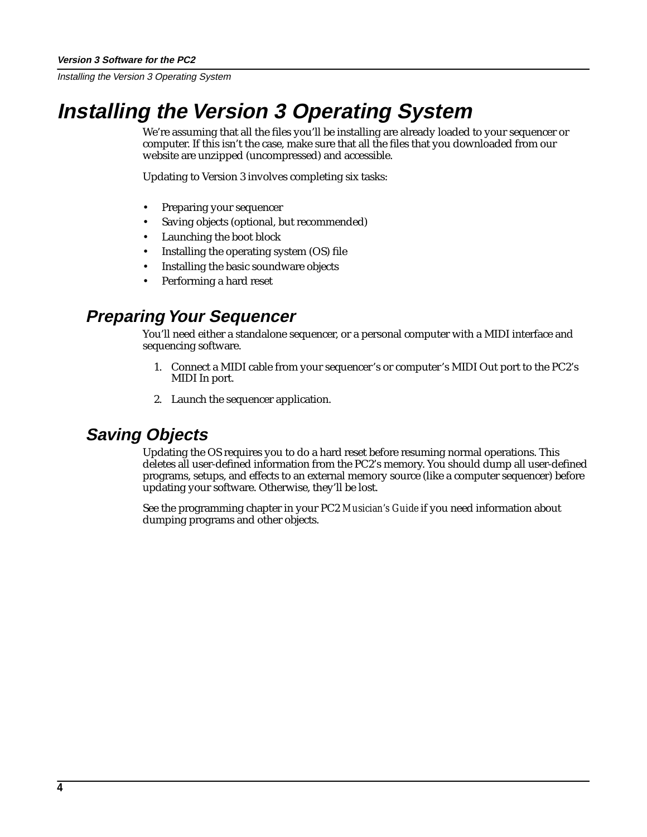# <span id="page-3-0"></span>**Installing the Version 3 Operating System**

We're assuming that all the files you'll be installing are already loaded to your sequencer or computer. If this isn't the case, make sure that all the files that you downloaded from our website are unzipped (uncompressed) and accessible.

Updating to Version 3 involves completing six tasks:

- Preparing your sequencer
- Saving objects (optional, but recommended)
- Launching the boot block
- Installing the operating system (OS) file
- Installing the basic soundware objects
- Performing a hard reset

### **Preparing Your Sequencer**

You'll need either a standalone sequencer, or a personal computer with a MIDI interface and sequencing software.

- 1. Connect a MIDI cable from your sequencer's or computer's MIDI Out port to the PC2's MIDI In port.
- 2. Launch the sequencer application.

### **Saving Objects**

Updating the OS requires you to do a hard reset before resuming normal operations. This deletes all user-defined information from the PC2's memory. You should dump all user-defined programs, setups, and effects to an external memory source (like a computer sequencer) before updating your software. Otherwise, they'll be lost.

See the programming chapter in your PC2 *Musician's Guide* if you need information about dumping programs and other objects.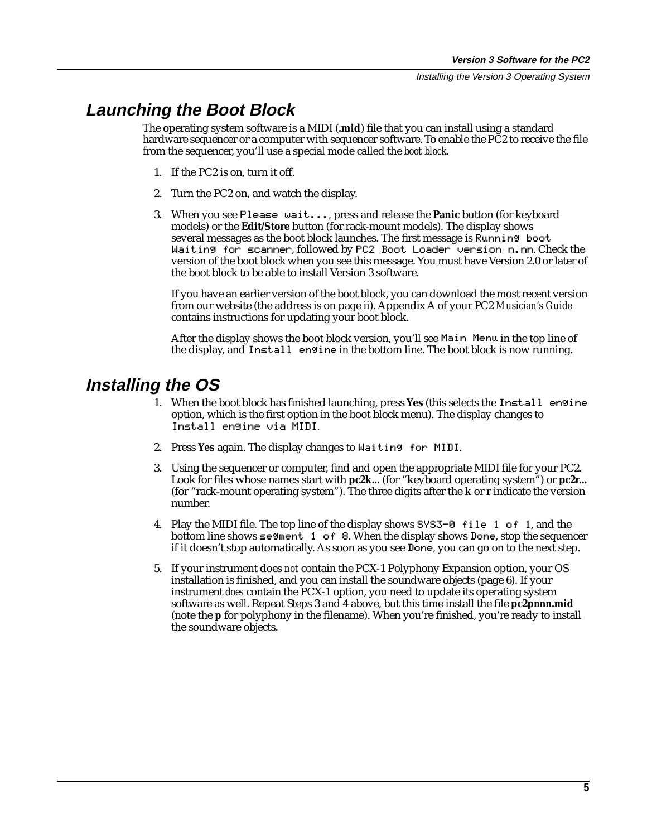### <span id="page-4-0"></span>**Launching the Boot Block**

The operating system software is a MIDI (**.mid**) file that you can install using a standard hardware sequencer or a computer with sequencer software. To enable the PC2 to receive the file from the sequencer, you'll use a special mode called the *boot block*.

- 1. If the PC2 is on, turn it off.
- 2. Turn the PC2 on, and watch the display.
- 3. When you see Please|wait..., press and release the **Panic** button (for keyboard models) or the **Edit/Store** button (for rack-mount models). The display shows several messages as the boot block launches. The first message is Running boot Waiting for scanner, followed by PC2 Boot Loader version n.nn. Check the version of the boot block when you see this message. You must have Version 2.0 or later of the boot block to be able to install Version 3 software.

If you have an earlier version of the boot block, you can download the most recent version from our website (the address is on [page ii\)](#page-1-0). Appendix A of your PC2 *Musician's Guide* contains instructions for updating your boot block.

After the display shows the boot block version, you'll see Main Menu in the top line of the display, and Install engine in the bottom line. The boot block is now running.

### **Installing the OS**

- 1. When the boot block has finished launching, press **Yes** (this selects the Install|engine option, which is the first option in the boot block menu). The display changes to Install|engine|via|MIDI.
- 2. Press **Yes** again. The display changes to Waiting|for|MIDI.
- 3. Using the sequencer or computer, find and open the appropriate MIDI file for your PC2. Look for files whose names start with **pc2k...** (for "**k**eyboard operating system") or **pc2r...** (for "**r**ack-mount operating system"). The three digits after the **k** or **r** indicate the version number.
- 4. Play the MIDI file. The top line of the display shows  $S\overline{S-0}$  file 1 of 1, and the bottom line shows  $\epsilon$ egment 1 of 8. When the display shows Done, stop the sequencer if it doesn't stop automatically. As soon as you see Done, you can go on to the next step.
- 5. If your instrument does *not* contain the PCX-1 Polyphony Expansion option, your OS installation is finished, and you can install the soundware objects (p[age 6\).](#page-5-0) If your instrument *does* contain the PCX-1 option, you need to update its operating system software as well. Repeat Steps 3 and 4 above, but this time install the file **pc2p***nnn***.mid** (note the **p** for polyphony in the filename). When you're finished, you're ready to install the soundware objects.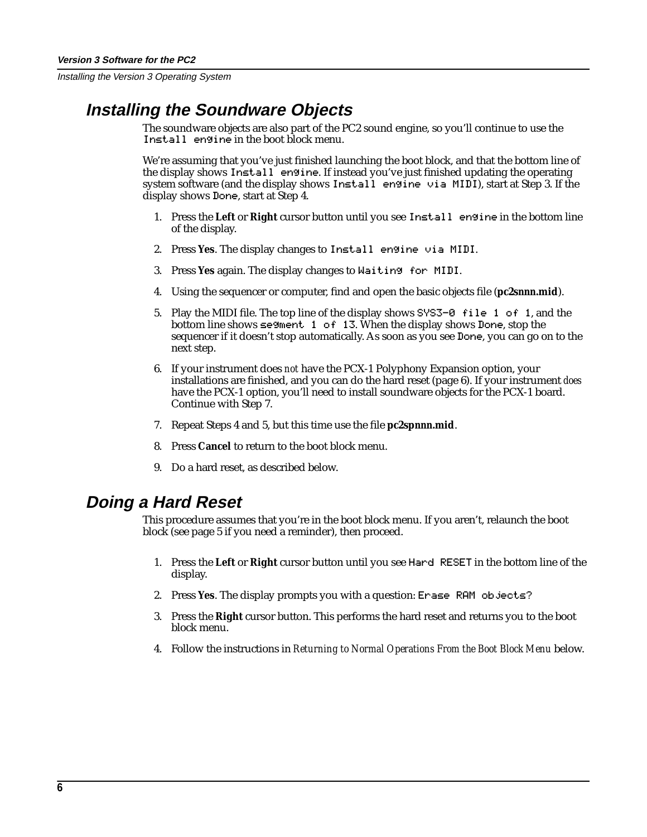### <span id="page-5-0"></span>**Installing the Soundware Objects**

The soundware objects are also part of the PC2 sound engine, so you'll continue to use the Install engine in the boot block menu.

We're assuming that you've just finished launching the boot block, and that the bottom line of the display shows Install engine. If instead you've just finished updating the operating system software (and the display shows  $I$ n $\le$ tall engine via MIDI), start at Step 3. If the display shows Done, start at Step 4.

- 1. Press the **Left** or **Right** cursor button until you see Install|engine in the bottom line of the display.
- 2. Press Yes. The display changes to Install engine via MIDI.
- 3. Press **Yes** again. The display changes to Waiting|for|MIDI.
- 4. Using the sequencer or computer, find and open the basic objects file (**pc2s***nnn***.mid**).
- 5. Play the MIDI file. The top line of the display shows SYS3-0 file 1 of 1, and the bottom line shows  $\leq$ egment 1 of 13. When the display shows Done, stop the sequencer if it doesn't stop automatically. As soon as you see Done, you can go on to the next step.
- 6. If your instrument does *not* have the PCX-1 Polyphony Expansion option, your installations are finished, and you can do the hard reset (page 6). If your instrument *does* have the PCX-1 option, you'll need to install soundware objects for the PCX-1 board. Continue with Step 7.
- 7. Repeat Steps 4 and 5, but this time use the file **pc2sp***nnn***.mid**.
- 8. Press **Cancel** to return to the boot block menu.
- 9. Do a hard reset, as described below.

### **Doing a Hard Reset**

This procedure assumes that you're in the boot block menu. If you aren't, relaunch the boot block (see [page 5](#page-4-0) if you need a reminder), then proceed.

- 1. Press the **Left** or **Right** cursor button until you see Hard|RESET in the bottom line of the display.
- 2. Press Yes. The display prompts you with a question: Erase RAM objects?
- 3. Press the **Right** cursor button. This performs the hard reset and returns you to the boot block menu.
- 4. Follow the instructions in *[Returning to Normal Operations From the Boot Block Menu](#page-6-0)* below.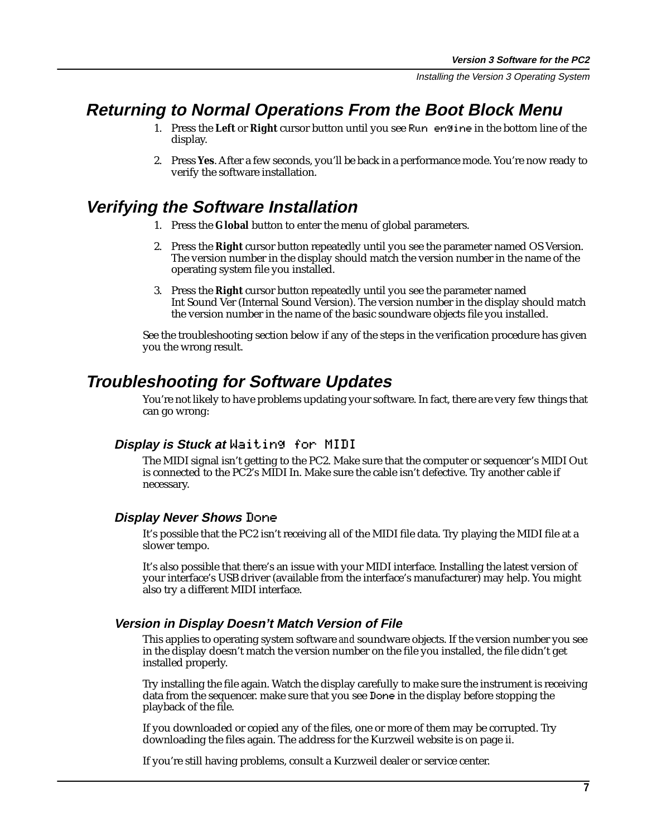### <span id="page-6-0"></span>**Returning to Normal Operations From the Boot Block Menu**

- 1. Press the **Left** or **Right** cursor button until you see Run|engine in the bottom line of the display.
- 2. Press **Yes**. After a few seconds, you'll be back in a performance mode. You're now ready to verify the software installation.

#### **Verifying the Software Installation**

- 1. Press the **Global** button to enter the menu of global parameters.
- 2. Press the **Right** cursor button repeatedly until you see the parameter named OS Version. The version number in the display should match the version number in the name of the operating system file you installed.
- 3. Press the **Right** cursor button repeatedly until you see the parameter named Int Sound Ver (Internal Sound Version). The version number in the display should match the version number in the name of the basic soundware objects file you installed.

See the troubleshooting section below if any of the steps in the verification procedure has given you the wrong result.

### **Troubleshooting for Software Updates**

You're not likely to have problems updating your software. In fact, there are very few things that can go wrong:

#### **Display is Stuck at** Waiting for MIDI

The MIDI signal isn't getting to the PC2. Make sure that the computer or sequencer's MIDI Out is connected to the PC2's MIDI In. Make sure the cable isn't defective. Try another cable if necessary.

#### **Display Never Shows** Done

It's possible that the PC2 isn't receiving all of the MIDI file data. Try playing the MIDI file at a slower tempo.

It's also possible that there's an issue with your MIDI interface. Installing the latest version of your interface's USB driver (available from the interface's manufacturer) may help. You might also try a different MIDI interface.

#### **Version in Display Doesn't Match Version of File**

This applies to operating system software *and* soundware objects. If the version number you see in the display doesn't match the version number on the file you installed, the file didn't get installed properly.

Try installing the file again. Watch the display carefully to make sure the instrument is receiving data from the sequencer. make sure that you see Done in the display before stopping the playback of the file.

If you downloaded or copied any of the files, one or more of them may be corrupted. Try downloading the files again. The address for the Kurzweil website is on p[age ii.](#page-1-0)

If you're still having problems, consult a Kurzweil dealer or service center.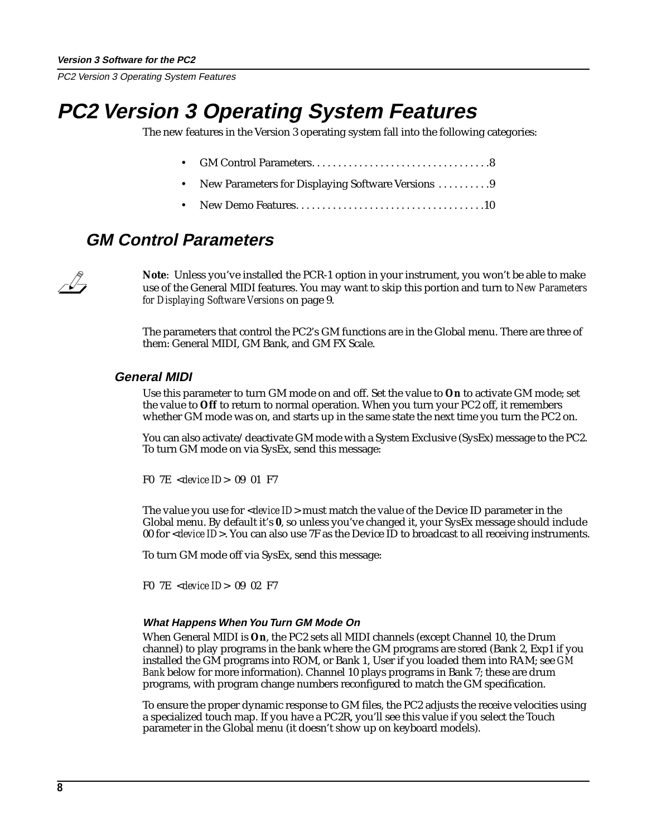<span id="page-7-0"></span>PC2 Version 3 Operating System Features

# **PC2 Version 3 Operating System Features**

The new features in the Version 3 operating system fall into the following categories:

- GM Control Parameters. . . . . . . . . . . . . . . . . . . . . . . . . . . . . . . . . .8
- New Parameters for Displaying Software Versions . . . . . . . . . . 9
- • [New Demo Features. . . . . . . . . . . . . . . . . . . . . . . . . . . . . . . . . . . .10](#page-9-0)

### **GM Control Parameters**

**Note**: Unless you've installed the PCR-1 option in your instrument, you won't be able to make use of the General MIDI features. You may want to skip this portion and turn to *[New Parameters](#page-8-0)  [for Displaying Software Versions](#page-8-0)* on [page 9](#page-8-0).

The parameters that control the PC2's GM functions are in the Global menu. There are three of them: General MIDI, GM Bank, and GM FX Scale.

#### **General MIDI**

Use this parameter to turn GM mode on and off. Set the value to **On** to activate GM mode; set the value to **Off** to return to normal operation. When you turn your PC2 off, it remembers whether GM mode was on, and starts up in the same state the next time you turn the PC2 on.

You can also activate/deactivate GM mode with a System Exclusive (SysEx) message to the PC2. To turn GM mode on via SysEx, send this message:

F0 7E <*device ID*> 09 01 F7

The value you use for <*device ID*> must match the value of the Device ID parameter in the Global menu. By default it's **0**, so unless you've changed it, your SysEx message should include 00 for <*device ID*>. You can also use 7F as the Device ID to broadcast to all receiving instruments.

To turn GM mode off via SysEx, send this message:

F0 7E <*device ID*> 09 02 F7

#### **What Happens When You Turn GM Mode On**

When General MIDI is **On**, the PC2 sets all MIDI channels (except Channel 10, the Drum channel) to play programs in the bank where the GM programs are stored (Bank 2, Exp1 if you installed the GM programs into ROM, or Bank 1, User if you loaded them into RAM; see *[GM](#page-8-0)  [Bank](#page-8-0)* below for more information). Channel 10 plays programs in Bank 7; these are drum programs, with program change numbers reconfigured to match the GM specification.

To ensure the proper dynamic response to GM files, the PC2 adjusts the receive velocities using a specialized touch map. If you have a PC2R, you'll see this value if you select the Touch parameter in the Global menu (it doesn't show up on keyboard models).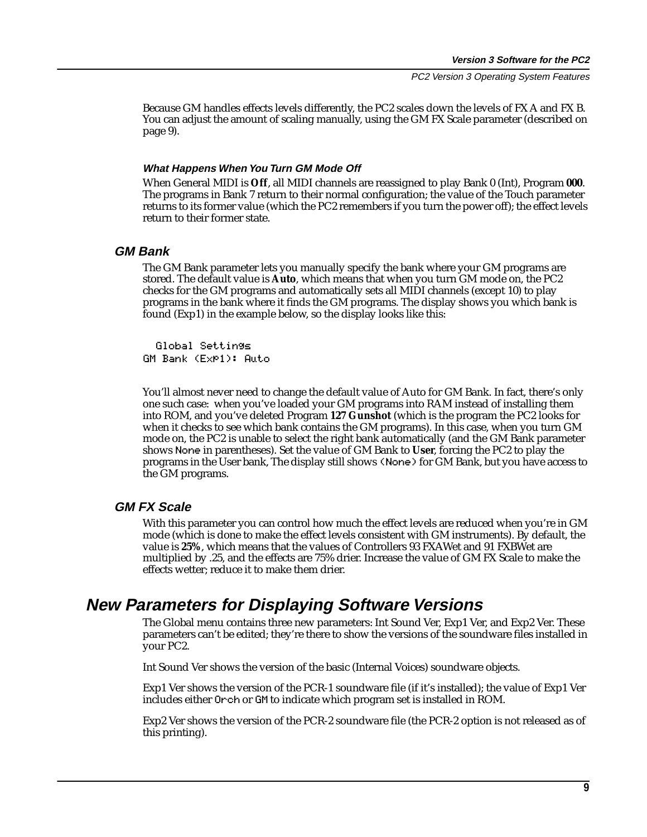PC2 Version 3 Operating System Features

<span id="page-8-0"></span>Because GM handles effects levels differently, the PC2 scales down the levels of FX A and FX B. You can adjust the amount of scaling manually, using the GM FX Scale parameter (described on page 9).

#### **What Happens When You Turn GM Mode Off**

When General MIDI is **Off**, all MIDI channels are reassigned to play Bank 0 (Int), Program **000**. The programs in Bank 7 return to their normal configuration; the value of the Touch parameter returns to its former value (which the PC2 remembers if you turn the power off); the effect levels return to their former state.

#### **GM Bank**

The GM Bank parameter lets you manually specify the bank where your GM programs are stored. The default value is **Auto**, which means that when you turn GM mode on, the PC2 checks for the GM programs and automatically sets all MIDI channels (except 10) to play programs in the bank where it finds the GM programs. The display shows you which bank is found (Exp1) in the example below, so the display looks like this:

||Global|Settings GM Bank (Exp1): Auto

You'll almost never need to change the default value of Auto for GM Bank. In fact, there's only one such case: when you've loaded your GM programs into RAM instead of installing them into ROM, and you've deleted Program **127 Gunshot** (which is the program the PC2 looks for when it checks to see which bank contains the GM programs). In this case, when you turn GM mode on, the PC2 is unable to select the right bank automatically (and the GM Bank parameter shows None in parentheses). Set the value of GM Bank to **User**, forcing the PC2 to play the programs in the User bank, The display still shows (None) for GM Bank, but you have access to the GM programs.

#### **GM FX Scale**

With this parameter you can control how much the effect levels are reduced when you're in GM mode (which is done to make the effect levels consistent with GM instruments). By default, the value is **25%**, which means that the values of Controllers 93 FXAWet and 91 FXBWet are multiplied by .25, and the effects are 75% drier. Increase the value of GM FX Scale to make the effects wetter; reduce it to make them drier.

#### **New Parameters for Displaying Software Versions**

The Global menu contains three new parameters: Int Sound Ver, Exp1 Ver, and Exp2 Ver. These parameters can't be edited; they're there to show the versions of the soundware files installed in your PC2.

Int Sound Ver shows the version of the basic (Internal Voices) soundware objects.

Exp1 Ver shows the version of the PCR-1 soundware file (if it's installed); the value of Exp1 Ver includes either Orch or GM to indicate which program set is installed in ROM.

Exp2 Ver shows the version of the PCR-2 soundware file (the PCR-2 option is not released as of this printing).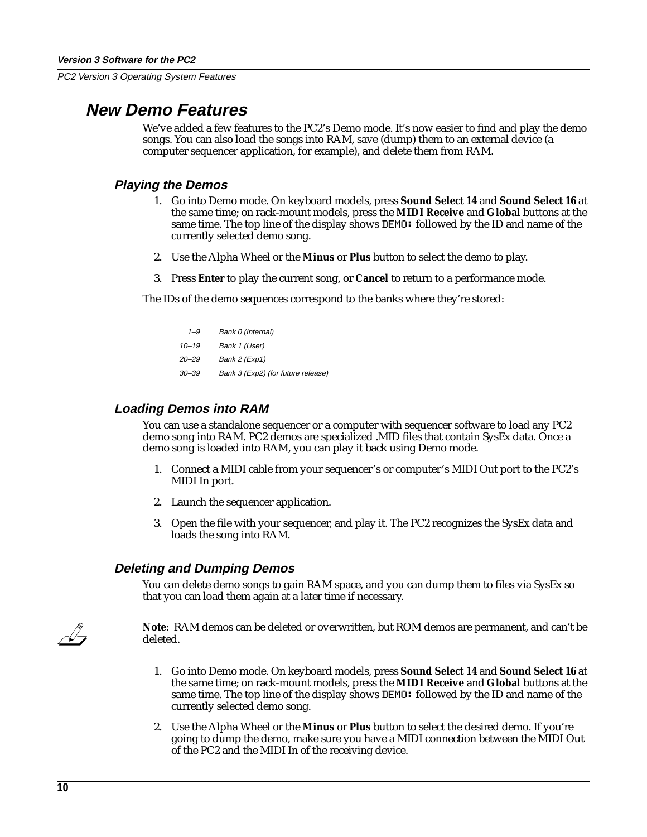<span id="page-9-0"></span>PC2 Version 3 Operating System Features

### **New Demo Features**

We've added a few features to the PC2's Demo mode. It's now easier to find and play the demo songs. You can also load the songs into RAM, save (dump) them to an external device (a computer sequencer application, for example), and delete them from RAM.

#### **Playing the Demos**

- 1. Go into Demo mode. On keyboard models, press **Sound Select 14** and **Sound Select 16** at the same time; on rack-mount models, press the **MIDI Receive** and **Global** buttons at the same time. The top line of the display shows DEMO: followed by the ID and name of the currently selected demo song.
- 2. Use the Alpha Wheel or the **Minus** or **Plus** button to select the demo to play.
- 3. Press **Enter** to play the current song, or **Cancel** to return to a performance mode.

The IDs of the demo sequences correspond to the banks where they're stored:

| $1 - 9$   | Bank 0 (Internal)                  |
|-----------|------------------------------------|
| $10 - 19$ | Bank 1 (User)                      |
| 20–29     | Bank 2 (Exp1)                      |
| 30–39     | Bank 3 (Exp2) (for future release) |

#### **Loading Demos into RAM**

You can use a standalone sequencer or a computer with sequencer software to load any PC2 demo song into RAM. PC2 demos are specialized .MID files that contain SysEx data. Once a demo song is loaded into RAM, you can play it back using Demo mode.

- 1. Connect a MIDI cable from your sequencer's or computer's MIDI Out port to the PC2's MIDI In port.
- 2. Launch the sequencer application.
- 3. Open the file with your sequencer, and play it. The PC2 recognizes the SysEx data and loads the song into RAM.

#### **Deleting and Dumping Demos**

You can delete demo songs to gain RAM space, and you can dump them to files via SysEx so that you can load them again at a later time if necessary.



**Note**: RAM demos can be deleted or overwritten, but ROM demos are permanent, and can't be deleted.

- 1. Go into Demo mode. On keyboard models, press **Sound Select 14** and **Sound Select 16** at the same time; on rack-mount models, press the **MIDI Receive** and **Global** buttons at the same time. The top line of the display shows DEMO: followed by the ID and name of the currently selected demo song.
- 2. Use the Alpha Wheel or the **Minus** or **Plus** button to select the desired demo. If you're going to dump the demo, make sure you have a MIDI connection between the MIDI Out of the PC2 and the MIDI In of the receiving device.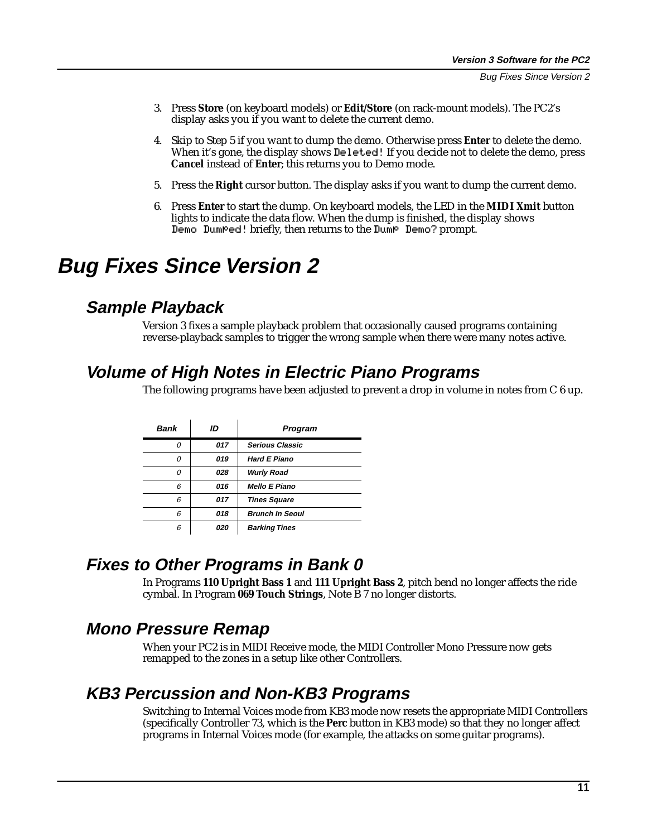- <span id="page-10-0"></span>3. Press **Store** (on keyboard models) or **Edit/Store** (on rack-mount models). The PC2's display asks you if you want to delete the current demo.
- 4. Skip to Step 5 if you want to dump the demo. Otherwise press **Enter** to delete the demo. When it's gone, the display shows Deleted! If you decide not to delete the demo, press **Cancel** instead of **Enter**; this returns you to Demo mode.
- 5. Press the **Right** cursor button. The display asks if you want to dump the current demo.
- 6. Press **Enter** to start the dump. On keyboard models, the LED in the **MIDI Xmit** button lights to indicate the data flow. When the dump is finished, the display shows Demo Dumped! briefly, then returns to the Dump Demo? prompt.

# **Bug Fixes Since Version 2**

## **Sample Playback**

Version 3 fixes a sample playback problem that occasionally caused programs containing reverse-playback samples to trigger the wrong sample when there were many notes active.

# **Volume of High Notes in Electric Piano Programs**

The following programs have been adjusted to prevent a drop in volume in notes from C 6 up.

| Bank | ID  | Program                |
|------|-----|------------------------|
| O    | 017 | <b>Serious Classic</b> |
| n    | 019 | <b>Hard E Piano</b>    |
| n    | 028 | <b>Wurly Road</b>      |
| 6    | 016 | <b>Mello E Piano</b>   |
| 6    | 017 | <b>Tines Square</b>    |
| 6    | 018 | <b>Brunch In Seoul</b> |
| 6    | 020 | <b>Barking Tines</b>   |

### **Fixes to Other Programs in Bank 0**

In Programs **110 Upright Bass 1** and **111 Upright Bass 2**, pitch bend no longer affects the ride cymbal. In Program **069 Touch Strings**, Note B 7 no longer distorts.

## **Mono Pressure Remap**

When your PC2 is in MIDI Receive mode, the MIDI Controller Mono Pressure now gets remapped to the zones in a setup like other Controllers.

## **KB3 Percussion and Non-KB3 Programs**

Switching to Internal Voices mode from KB3 mode now resets the appropriate MIDI Controllers (specifically Controller 73, which is the **Perc** button in KB3 mode) so that they no longer affect programs in Internal Voices mode (for example, the attacks on some guitar programs).